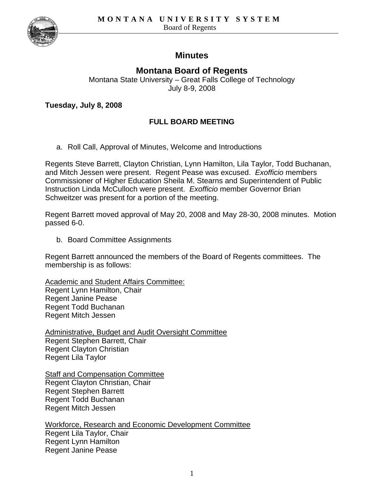

# **Minutes**

# **Montana Board of Regents**

Montana State University – Great Falls College of Technology July 8-9, 2008

**Tuesday, July 8, 2008** 

## **FULL BOARD MEETING**

a. Roll Call, Approval of Minutes, Welcome and Introductions

Regents Steve Barrett, Clayton Christian, Lynn Hamilton, Lila Taylor, Todd Buchanan, and Mitch Jessen were present. Regent Pease was excused. *Exofficio* members Commissioner of Higher Education Sheila M. Stearns and Superintendent of Public Instruction Linda McCulloch were present. *Exofficio* member Governor Brian Schweitzer was present for a portion of the meeting.

Regent Barrett moved approval of May 20, 2008 and May 28-30, 2008 minutes. Motion passed 6-0.

b. Board Committee Assignments

Regent Barrett announced the members of the Board of Regents committees. The membership is as follows:

Academic and Student Affairs Committee: Regent Lynn Hamilton, Chair Regent Janine Pease Regent Todd Buchanan Regent Mitch Jessen

Administrative, Budget and Audit Oversight Committee Regent Stephen Barrett, Chair Regent Clayton Christian Regent Lila Taylor

**Staff and Compensation Committee** Regent Clayton Christian, Chair Regent Stephen Barrett Regent Todd Buchanan Regent Mitch Jessen

Workforce, Research and Economic Development Committee Regent Lila Taylor, Chair Regent Lynn Hamilton Regent Janine Pease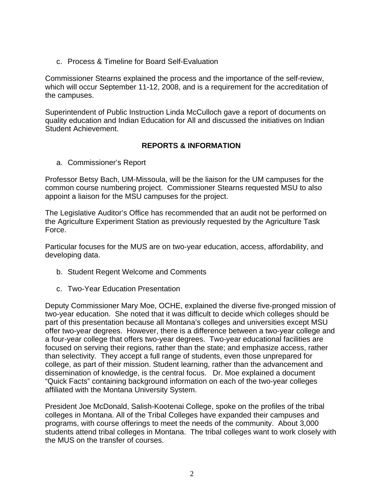c. Process & Timeline for Board Self-Evaluation

Commissioner Stearns explained the process and the importance of the self-review, which will occur September 11-12, 2008, and is a requirement for the accreditation of the campuses.

Superintendent of Public Instruction Linda McCulloch gave a report of documents on quality education and Indian Education for All and discussed the initiatives on Indian Student Achievement.

## **REPORTS & INFORMATION**

a. Commissioner's Report

Professor Betsy Bach, UM-Missoula, will be the liaison for the UM campuses for the common course numbering project. Commissioner Stearns requested MSU to also appoint a liaison for the MSU campuses for the project.

The Legislative Auditor's Office has recommended that an audit not be performed on the Agriculture Experiment Station as previously requested by the Agriculture Task Force.

Particular focuses for the MUS are on two-year education, access, affordability, and developing data.

- b. Student Regent Welcome and Comments
- c. Two-Year Education Presentation

Deputy Commissioner Mary Moe, OCHE, explained the diverse five-pronged mission of two-year education. She noted that it was difficult to decide which colleges should be part of this presentation because all Montana's colleges and universities except MSU offer two-year degrees. However, there is a difference between a two-year college and a four-year college that offers two-year degrees. Two-year educational facilities are focused on serving their regions, rather than the state; and emphasize access, rather than selectivity. They accept a full range of students, even those unprepared for college, as part of their mission. Student learning, rather than the advancement and dissemination of knowledge, is the central focus. Dr. Moe explained a document "Quick Facts" containing background information on each of the two-year colleges affiliated with the Montana University System.

President Joe McDonald, Salish-Kootenai College, spoke on the profiles of the tribal colleges in Montana. All of the Tribal Colleges have expanded their campuses and programs, with course offerings to meet the needs of the community. About 3,000 students attend tribal colleges in Montana. The tribal colleges want to work closely with the MUS on the transfer of courses.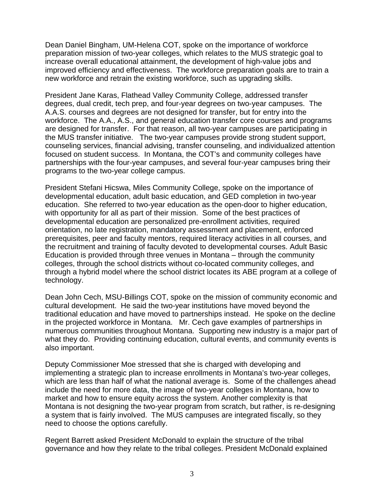Dean Daniel Bingham, UM-Helena COT, spoke on the importance of workforce preparation mission of two-year colleges, which relates to the MUS strategic goal to increase overall educational attainment, the development of high-value jobs and improved efficiency and effectiveness. The workforce preparation goals are to train a new workforce and retrain the existing workforce, such as upgrading skills.

President Jane Karas, Flathead Valley Community College, addressed transfer degrees, dual credit, tech prep, and four-year degrees on two-year campuses. The A.A.S. courses and degrees are not designed for transfer, but for entry into the workforce. The A.A., A.S., and general education transfer core courses and programs are designed for transfer. For that reason, all two-year campuses are participating in the MUS transfer initiative. The two-year campuses provide strong student support, counseling services, financial advising, transfer counseling, and individualized attention focused on student success. In Montana, the COT's and community colleges have partnerships with the four-year campuses, and several four-year campuses bring their programs to the two-year college campus.

President Stefani Hicswa, Miles Community College, spoke on the importance of developmental education, adult basic education, and GED completion in two-year education. She referred to two-year education as the open-door to higher education, with opportunity for all as part of their mission. Some of the best practices of developmental education are personalized pre-enrollment activities, required orientation, no late registration, mandatory assessment and placement, enforced prerequisites, peer and faculty mentors, required literacy activities in all courses, and the recruitment and training of faculty devoted to developmental courses. Adult Basic Education is provided through three venues in Montana – through the community colleges, through the school districts without co-located community colleges, and through a hybrid model where the school district locates its ABE program at a college of technology.

Dean John Cech, MSU-Billings COT, spoke on the mission of community economic and cultural development. He said the two-year institutions have moved beyond the traditional education and have moved to partnerships instead. He spoke on the decline in the projected workforce in Montana. Mr. Cech gave examples of partnerships in numerous communities throughout Montana. Supporting new industry is a major part of what they do. Providing continuing education, cultural events, and community events is also important.

Deputy Commissioner Moe stressed that she is charged with developing and implementing a strategic plan to increase enrollments in Montana's two-year colleges, which are less than half of what the national average is. Some of the challenges ahead include the need for more data, the image of two-year colleges in Montana, how to market and how to ensure equity across the system. Another complexity is that Montana is not designing the two-year program from scratch, but rather, is re-designing a system that is fairly involved. The MUS campuses are integrated fiscally, so they need to choose the options carefully.

Regent Barrett asked President McDonald to explain the structure of the tribal governance and how they relate to the tribal colleges. President McDonald explained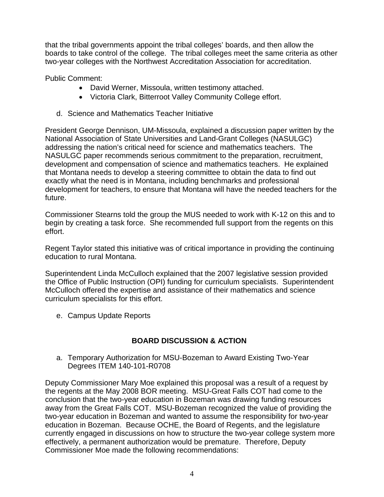that the tribal governments appoint the tribal colleges' boards, and then allow the boards to take control of the college. The tribal colleges meet the same criteria as other two-year colleges with the Northwest Accreditation Association for accreditation.

Public Comment:

- David Werner, Missoula, written testimony attached.
- Victoria Clark, Bitterroot Valley Community College effort.
- d. Science and Mathematics Teacher Initiative

President George Dennison, UM-Missoula, explained a discussion paper written by the National Association of State Universities and Land-Grant Colleges (NASULGC) addressing the nation's critical need for science and mathematics teachers. The NASULGC paper recommends serious commitment to the preparation, recruitment, development and compensation of science and mathematics teachers. He explained that Montana needs to develop a steering committee to obtain the data to find out exactly what the need is in Montana, including benchmarks and professional development for teachers, to ensure that Montana will have the needed teachers for the future.

Commissioner Stearns told the group the MUS needed to work with K-12 on this and to begin by creating a task force. She recommended full support from the regents on this effort.

Regent Taylor stated this initiative was of critical importance in providing the continuing education to rural Montana.

Superintendent Linda McCulloch explained that the 2007 legislative session provided the Office of Public Instruction (OPI) funding for curriculum specialists. Superintendent McCulloch offered the expertise and assistance of their mathematics and science curriculum specialists for this effort.

e. Campus Update Reports

## **BOARD DISCUSSION & ACTION**

a. Temporary Authorization for MSU-Bozeman to Award Existing Two-Year Degrees ITEM 140-101-R0708

Deputy Commissioner Mary Moe explained this proposal was a result of a request by the regents at the May 2008 BOR meeting. MSU-Great Falls COT had come to the conclusion that the two-year education in Bozeman was drawing funding resources away from the Great Falls COT. MSU-Bozeman recognized the value of providing the two-year education in Bozeman and wanted to assume the responsibility for two-year education in Bozeman. Because OCHE, the Board of Regents, and the legislature currently engaged in discussions on how to structure the two-year college system more effectively, a permanent authorization would be premature. Therefore, Deputy Commissioner Moe made the following recommendations: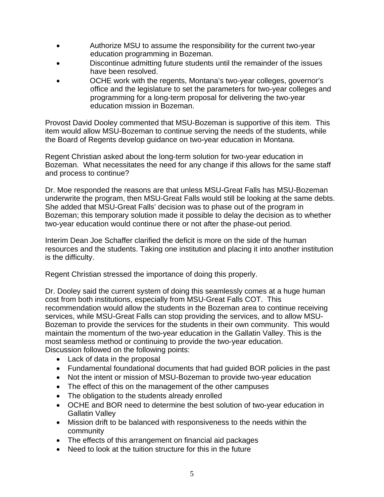- Authorize MSU to assume the responsibility for the current two-year education programming in Bozeman.
- Discontinue admitting future students until the remainder of the issues have been resolved.
- OCHE work with the regents, Montana's two-year colleges, governor's office and the legislature to set the parameters for two-year colleges and programming for a long-term proposal for delivering the two-year education mission in Bozeman.

Provost David Dooley commented that MSU-Bozeman is supportive of this item. This item would allow MSU-Bozeman to continue serving the needs of the students, while the Board of Regents develop guidance on two-year education in Montana.

Regent Christian asked about the long-term solution for two-year education in Bozeman. What necessitates the need for any change if this allows for the same staff and process to continue?

Dr. Moe responded the reasons are that unless MSU-Great Falls has MSU-Bozeman underwrite the program, then MSU-Great Falls would still be looking at the same debts. She added that MSU-Great Falls' decision was to phase out of the program in Bozeman; this temporary solution made it possible to delay the decision as to whether two-year education would continue there or not after the phase-out period.

Interim Dean Joe Schaffer clarified the deficit is more on the side of the human resources and the students. Taking one institution and placing it into another institution is the difficulty.

Regent Christian stressed the importance of doing this properly.

Dr. Dooley said the current system of doing this seamlessly comes at a huge human cost from both institutions, especially from MSU-Great Falls COT. This recommendation would allow the students in the Bozeman area to continue receiving services, while MSU-Great Falls can stop providing the services, and to allow MSU-Bozeman to provide the services for the students in their own community. This would maintain the momentum of the two-year education in the Gallatin Valley. This is the most seamless method or continuing to provide the two-year education. Discussion followed on the following points:

- Lack of data in the proposal
- Fundamental foundational documents that had guided BOR policies in the past
- Not the intent or mission of MSU-Bozeman to provide two-year education
- The effect of this on the management of the other campuses
- The obligation to the students already enrolled
- OCHE and BOR need to determine the best solution of two-year education in Gallatin Valley
- Mission drift to be balanced with responsiveness to the needs within the community
- The effects of this arrangement on financial aid packages
- Need to look at the tuition structure for this in the future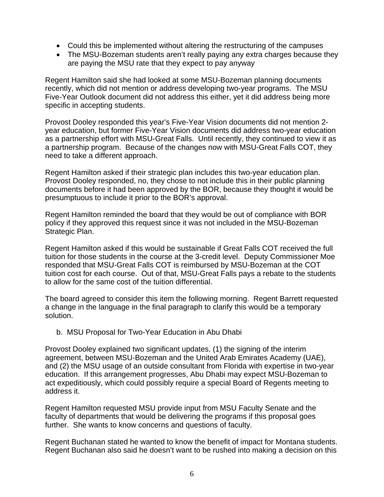- Could this be implemented without altering the restructuring of the campuses
- The MSU-Bozeman students aren't really paying any extra charges because they are paying the MSU rate that they expect to pay anyway

Regent Hamilton said she had looked at some MSU-Bozeman planning documents recently, which did not mention or address developing two-year programs. The MSU Five-Year Outlook document did not address this either, yet it did address being more specific in accepting students.

Provost Dooley responded this year's Five-Year Vision documents did not mention 2 year education, but former Five-Year Vision documents did address two-year education as a partnership effort with MSU-Great Falls. Until recently, they continued to view it as a partnership program. Because of the changes now with MSU-Great Falls COT, they need to take a different approach.

Regent Hamilton asked if their strategic plan includes this two-year education plan. Provost Dooley responded, no, they chose to not include this in their public planning documents before it had been approved by the BOR, because they thought it would be presumptuous to include it prior to the BOR's approval.

Regent Hamilton reminded the board that they would be out of compliance with BOR policy if they approved this request since it was not included in the MSU-Bozeman Strategic Plan.

Regent Hamilton asked if this would be sustainable if Great Falls COT received the full tuition for those students in the course at the 3-credit level. Deputy Commissioner Moe responded that MSU-Great Falls COT is reimbursed by MSU-Bozeman at the COT tuition cost for each course. Out of that, MSU-Great Falls pays a rebate to the students to allow for the same cost of the tuition differential.

The board agreed to consider this item the following morning. Regent Barrett requested a change in the language in the final paragraph to clarify this would be a temporary solution.

## b. MSU Proposal for Two-Year Education in Abu Dhabi

Provost Dooley explained two significant updates, (1) the signing of the interim agreement, between MSU-Bozeman and the United Arab Emirates Academy (UAE), and (2) the MSU usage of an outside consultant from Florida with expertise in two-year education. If this arrangement progresses, Abu Dhabi may expect MSU-Bozeman to act expeditiously, which could possibly require a special Board of Regents meeting to address it.

Regent Hamilton requested MSU provide input from MSU Faculty Senate and the faculty of departments that would be delivering the programs if this proposal goes further. She wants to know concerns and questions of faculty.

Regent Buchanan stated he wanted to know the benefit of impact for Montana students. Regent Buchanan also said he doesn't want to be rushed into making a decision on this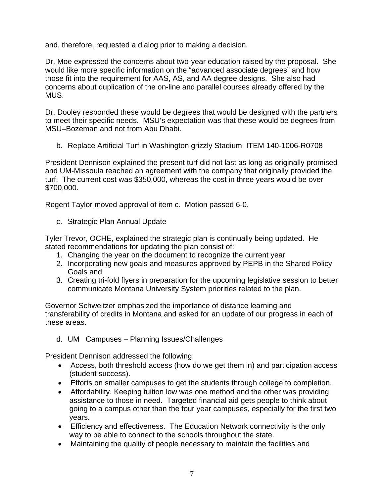and, therefore, requested a dialog prior to making a decision.

Dr. Moe expressed the concerns about two-year education raised by the proposal. She would like more specific information on the "advanced associate degrees" and how those fit into the requirement for AAS, AS, and AA degree designs. She also had concerns about duplication of the on-line and parallel courses already offered by the MUS.

Dr. Dooley responded these would be degrees that would be designed with the partners to meet their specific needs. MSU's expectation was that these would be degrees from MSU–Bozeman and not from Abu Dhabi.

b. Replace Artificial Turf in Washington grizzly Stadium ITEM 140-1006-R0708

President Dennison explained the present turf did not last as long as originally promised and UM-Missoula reached an agreement with the company that originally provided the turf. The current cost was \$350,000, whereas the cost in three years would be over \$700,000.

Regent Taylor moved approval of item c. Motion passed 6-0.

c. Strategic Plan Annual Update

Tyler Trevor, OCHE, explained the strategic plan is continually being updated. He stated recommendations for updating the plan consist of:

- 1. Changing the year on the document to recognize the current year
- 2. Incorporating new goals and measures approved by PEPB in the Shared Policy Goals and
- 3. Creating tri-fold flyers in preparation for the upcoming legislative session to better communicate Montana University System priorities related to the plan.

Governor Schweitzer emphasized the importance of distance learning and transferability of credits in Montana and asked for an update of our progress in each of these areas.

d. UM Campuses – Planning Issues/Challenges

President Dennison addressed the following:

- Access, both threshold access (how do we get them in) and participation access (student success).
- Efforts on smaller campuses to get the students through college to completion.
- Affordability. Keeping tuition low was one method and the other was providing assistance to those in need. Targeted financial aid gets people to think about going to a campus other than the four year campuses, especially for the first two years.
- Efficiency and effectiveness. The Education Network connectivity is the only way to be able to connect to the schools throughout the state.
- Maintaining the quality of people necessary to maintain the facilities and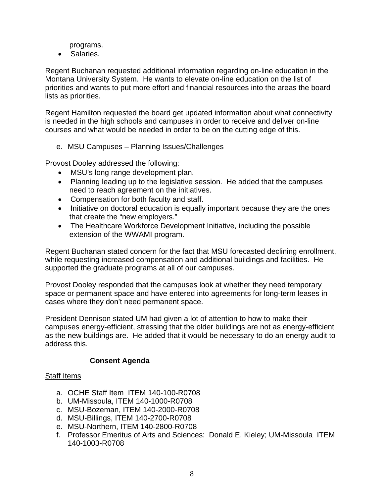programs.

• Salaries.

Regent Buchanan requested additional information regarding on-line education in the Montana University System. He wants to elevate on-line education on the list of priorities and wants to put more effort and financial resources into the areas the board lists as priorities.

Regent Hamilton requested the board get updated information about what connectivity is needed in the high schools and campuses in order to receive and deliver on-line courses and what would be needed in order to be on the cutting edge of this.

e. MSU Campuses – Planning Issues/Challenges

Provost Dooley addressed the following:

- MSU's long range development plan.
- Planning leading up to the legislative session. He added that the campuses need to reach agreement on the initiatives.
- Compensation for both faculty and staff.
- Initiative on doctoral education is equally important because they are the ones that create the "new employers."
- The Healthcare Workforce Development Initiative, including the possible extension of the WWAMI program.

Regent Buchanan stated concern for the fact that MSU forecasted declining enrollment, while requesting increased compensation and additional buildings and facilities. He supported the graduate programs at all of our campuses.

Provost Dooley responded that the campuses look at whether they need temporary space or permanent space and have entered into agreements for long-term leases in cases where they don't need permanent space.

President Dennison stated UM had given a lot of attention to how to make their campuses energy-efficient, stressing that the older buildings are not as energy-efficient as the new buildings are. He added that it would be necessary to do an energy audit to address this.

## **Consent Agenda**

## Staff Items

- a. OCHE Staff Item ITEM 140-100-R0708
- b. UM-Missoula, ITEM 140-1000-R0708
- c. MSU-Bozeman, ITEM 140-2000-R0708
- d. MSU-Billings, ITEM 140-2700-R0708
- e. MSU-Northern, ITEM 140-2800-R0708
- f. Professor Emeritus of Arts and Sciences: Donald E. Kieley; UM-Missoula ITEM 140-1003-R0708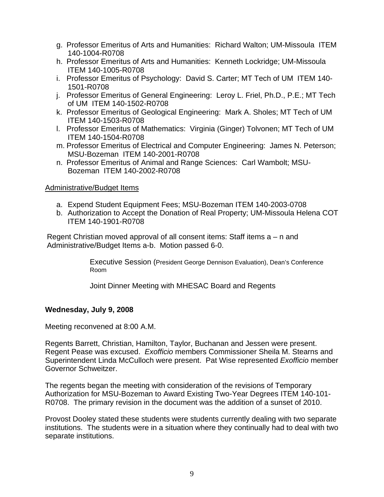- g. Professor Emeritus of Arts and Humanities: Richard Walton; UM-Missoula ITEM 140-1004-R0708
- h. Professor Emeritus of Arts and Humanities: Kenneth Lockridge; UM-Missoula ITEM 140-1005-R0708
- i. Professor Emeritus of Psychology: David S. Carter; MT Tech of UM ITEM 140- 1501-R0708
- j. Professor Emeritus of General Engineering: Leroy L. Friel, Ph.D., P.E.; MT Tech of UM ITEM 140-1502-R0708
- k. Professor Emeritus of Geological Engineering: Mark A. Sholes; MT Tech of UM ITEM 140-1503-R0708
- l. Professor Emeritus of Mathematics: Virginia (Ginger) Tolvonen; MT Tech of UM ITEM 140-1504-R0708
- m. Professor Emeritus of Electrical and Computer Engineering: James N. Peterson; MSU-Bozeman ITEM 140-2001-R0708
- n. Professor Emeritus of Animal and Range Sciences: Carl Wambolt; MSU-Bozeman ITEM 140-2002-R0708

## Administrative/Budget Items

- a. Expend Student Equipment Fees; MSU-Bozeman ITEM 140-2003-0708
- b. Authorization to Accept the Donation of Real Property; UM-Missoula Helena COT ITEM 140-1901-R0708

Regent Christian moved approval of all consent items: Staff items a – n and Administrative/Budget Items a-b. Motion passed 6-0.

> Executive Session (President George Dennison Evaluation), Dean's Conference Room

Joint Dinner Meeting with MHESAC Board and Regents

## **Wednesday, July 9, 2008**

Meeting reconvened at 8:00 A.M.

Regents Barrett, Christian, Hamilton, Taylor, Buchanan and Jessen were present. Regent Pease was excused. *Exofficio* members Commissioner Sheila M. Stearns and Superintendent Linda McCulloch were present.Pat Wise represented *Exofficio* member Governor Schweitzer.

The regents began the meeting with consideration of the revisions of Temporary Authorization for MSU-Bozeman to Award Existing Two-Year Degrees ITEM 140-101- R0708. The primary revision in the document was the addition of a sunset of 2010.

Provost Dooley stated these students were students currently dealing with two separate institutions. The students were in a situation where they continually had to deal with two separate institutions.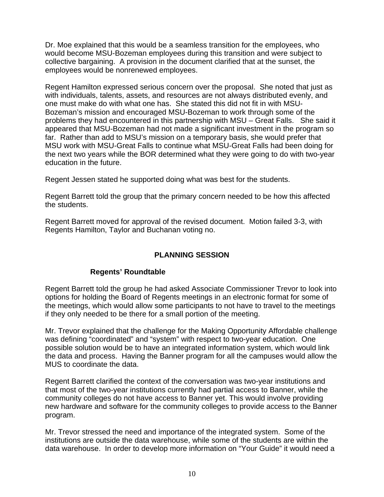Dr. Moe explained that this would be a seamless transition for the employees, who would become MSU-Bozeman employees during this transition and were subject to collective bargaining. A provision in the document clarified that at the sunset, the employees would be nonrenewed employees.

Regent Hamilton expressed serious concern over the proposal. She noted that just as with individuals, talents, assets, and resources are not always distributed evenly, and one must make do with what one has. She stated this did not fit in with MSU-Bozeman's mission and encouraged MSU-Bozeman to work through some of the problems they had encountered in this partnership with MSU – Great Falls. She said it appeared that MSU-Bozeman had not made a significant investment in the program so far. Rather than add to MSU's mission on a temporary basis, she would prefer that MSU work with MSU-Great Falls to continue what MSU-Great Falls had been doing for the next two years while the BOR determined what they were going to do with two-year education in the future.

Regent Jessen stated he supported doing what was best for the students.

Regent Barrett told the group that the primary concern needed to be how this affected the students.

Regent Barrett moved for approval of the revised document. Motion failed 3-3, with Regents Hamilton, Taylor and Buchanan voting no.

## **PLANNING SESSION**

## **Regents' Roundtable**

Regent Barrett told the group he had asked Associate Commissioner Trevor to look into options for holding the Board of Regents meetings in an electronic format for some of the meetings, which would allow some participants to not have to travel to the meetings if they only needed to be there for a small portion of the meeting.

Mr. Trevor explained that the challenge for the Making Opportunity Affordable challenge was defining "coordinated" and "system" with respect to two-year education. One possible solution would be to have an integrated information system, which would link the data and process. Having the Banner program for all the campuses would allow the MUS to coordinate the data.

Regent Barrett clarified the context of the conversation was two-year institutions and that most of the two-year institutions currently had partial access to Banner, while the community colleges do not have access to Banner yet. This would involve providing new hardware and software for the community colleges to provide access to the Banner program.

Mr. Trevor stressed the need and importance of the integrated system. Some of the institutions are outside the data warehouse, while some of the students are within the data warehouse. In order to develop more information on "Your Guide" it would need a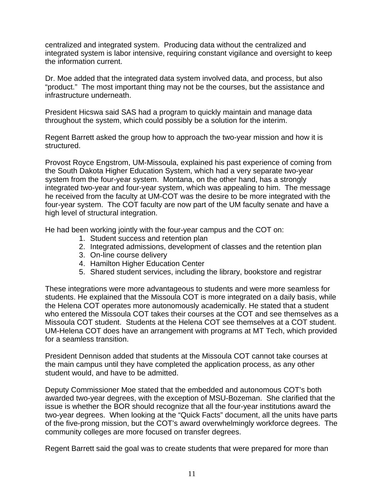centralized and integrated system. Producing data without the centralized and integrated system is labor intensive, requiring constant vigilance and oversight to keep the information current.

Dr. Moe added that the integrated data system involved data, and process, but also "product." The most important thing may not be the courses, but the assistance and infrastructure underneath.

President Hicswa said SAS had a program to quickly maintain and manage data throughout the system, which could possibly be a solution for the interim.

Regent Barrett asked the group how to approach the two-year mission and how it is structured.

Provost Royce Engstrom, UM-Missoula, explained his past experience of coming from the South Dakota Higher Education System, which had a very separate two-year system from the four-year system. Montana, on the other hand, has a strongly integrated two-year and four-year system, which was appealing to him. The message he received from the faculty at UM-COT was the desire to be more integrated with the four-year system. The COT faculty are now part of the UM faculty senate and have a high level of structural integration.

He had been working jointly with the four-year campus and the COT on:

- 1. Student success and retention plan
- 2. Integrated admissions, development of classes and the retention plan
- 3. On-line course delivery
- 4. Hamilton Higher Education Center
- 5. Shared student services, including the library, bookstore and registrar

These integrations were more advantageous to students and were more seamless for students. He explained that the Missoula COT is more integrated on a daily basis, while the Helena COT operates more autonomously academically. He stated that a student who entered the Missoula COT takes their courses at the COT and see themselves as a Missoula COT student. Students at the Helena COT see themselves at a COT student. UM-Helena COT does have an arrangement with programs at MT Tech, which provided for a seamless transition.

President Dennison added that students at the Missoula COT cannot take courses at the main campus until they have completed the application process, as any other student would, and have to be admitted.

Deputy Commissioner Moe stated that the embedded and autonomous COT's both awarded two-year degrees, with the exception of MSU-Bozeman. She clarified that the issue is whether the BOR should recognize that all the four-year institutions award the two-year degrees. When looking at the "Quick Facts" document, all the units have parts of the five-prong mission, but the COT's award overwhelmingly workforce degrees. The community colleges are more focused on transfer degrees.

Regent Barrett said the goal was to create students that were prepared for more than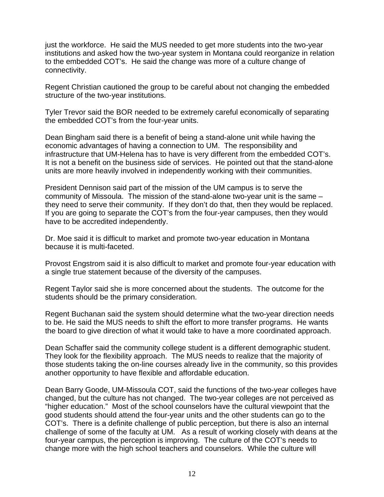just the workforce. He said the MUS needed to get more students into the two-year institutions and asked how the two-year system in Montana could reorganize in relation to the embedded COT's. He said the change was more of a culture change of connectivity.

Regent Christian cautioned the group to be careful about not changing the embedded structure of the two-year institutions.

Tyler Trevor said the BOR needed to be extremely careful economically of separating the embedded COT's from the four-year units.

Dean Bingham said there is a benefit of being a stand-alone unit while having the economic advantages of having a connection to UM. The responsibility and infrastructure that UM-Helena has to have is very different from the embedded COT's. It is not a benefit on the business side of services. He pointed out that the stand-alone units are more heavily involved in independently working with their communities.

President Dennison said part of the mission of the UM campus is to serve the community of Missoula. The mission of the stand-alone two-year unit is the same – they need to serve their community. If they don't do that, then they would be replaced. If you are going to separate the COT's from the four-year campuses, then they would have to be accredited independently.

Dr. Moe said it is difficult to market and promote two-year education in Montana because it is multi-faceted.

Provost Engstrom said it is also difficult to market and promote four-year education with a single true statement because of the diversity of the campuses.

Regent Taylor said she is more concerned about the students. The outcome for the students should be the primary consideration.

Regent Buchanan said the system should determine what the two-year direction needs to be. He said the MUS needs to shift the effort to more transfer programs. He wants the board to give direction of what it would take to have a more coordinated approach.

Dean Schaffer said the community college student is a different demographic student. They look for the flexibility approach. The MUS needs to realize that the majority of those students taking the on-line courses already live in the community, so this provides another opportunity to have flexible and affordable education.

Dean Barry Goode, UM-Missoula COT, said the functions of the two-year colleges have changed, but the culture has not changed. The two-year colleges are not perceived as "higher education." Most of the school counselors have the cultural viewpoint that the good students should attend the four-year units and the other students can go to the COT's. There is a definite challenge of public perception, but there is also an internal challenge of some of the faculty at UM. As a result of working closely with deans at the four-year campus, the perception is improving. The culture of the COT's needs to change more with the high school teachers and counselors. While the culture will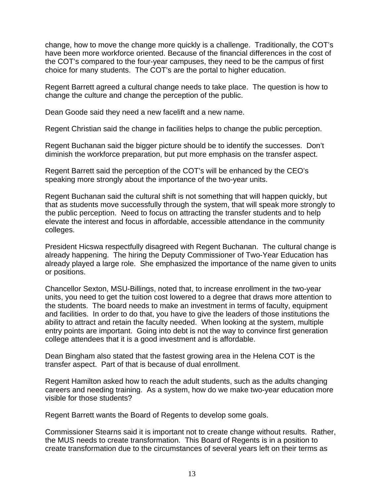change, how to move the change more quickly is a challenge. Traditionally, the COT's have been more workforce oriented. Because of the financial differences in the cost of the COT's compared to the four-year campuses, they need to be the campus of first choice for many students. The COT's are the portal to higher education.

Regent Barrett agreed a cultural change needs to take place. The question is how to change the culture and change the perception of the public.

Dean Goode said they need a new facelift and a new name.

Regent Christian said the change in facilities helps to change the public perception.

Regent Buchanan said the bigger picture should be to identify the successes. Don't diminish the workforce preparation, but put more emphasis on the transfer aspect.

Regent Barrett said the perception of the COT's will be enhanced by the CEO's speaking more strongly about the importance of the two-year units.

Regent Buchanan said the cultural shift is not something that will happen quickly, but that as students move successfully through the system, that will speak more strongly to the public perception. Need to focus on attracting the transfer students and to help elevate the interest and focus in affordable, accessible attendance in the community colleges.

President Hicswa respectfully disagreed with Regent Buchanan. The cultural change is already happening. The hiring the Deputy Commissioner of Two-Year Education has already played a large role. She emphasized the importance of the name given to units or positions.

Chancellor Sexton, MSU-Billings, noted that, to increase enrollment in the two-year units, you need to get the tuition cost lowered to a degree that draws more attention to the students. The board needs to make an investment in terms of faculty, equipment and facilities. In order to do that, you have to give the leaders of those institutions the ability to attract and retain the faculty needed. When looking at the system, multiple entry points are important. Going into debt is not the way to convince first generation college attendees that it is a good investment and is affordable.

Dean Bingham also stated that the fastest growing area in the Helena COT is the transfer aspect. Part of that is because of dual enrollment.

Regent Hamilton asked how to reach the adult students, such as the adults changing careers and needing training. As a system, how do we make two-year education more visible for those students?

Regent Barrett wants the Board of Regents to develop some goals.

Commissioner Stearns said it is important not to create change without results. Rather, the MUS needs to create transformation. This Board of Regents is in a position to create transformation due to the circumstances of several years left on their terms as